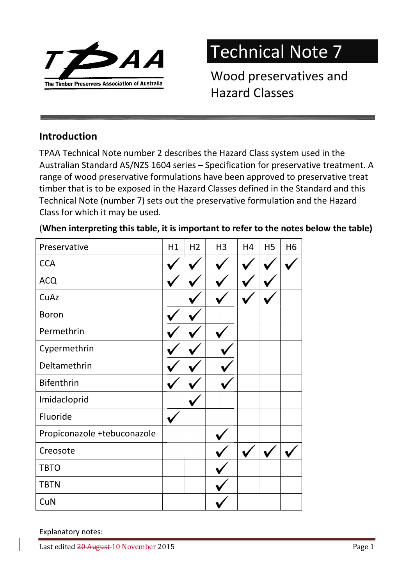

## Technical Note 7

Wood preservatives and Hazard Classes

## Introduction

TPAA Technical Note number 2 describes the Hazard Class system used in the Australian Standard AS/NZS 1604 series – Specification for preservative treatment. A range of wood preservative formulations have been approved to preservative treat timber that is to be exposed in the Hazard Classes defined in the Standard and this Technical Note (number 7) sets out the preservative formulation and the Hazard Class for which it may be used.

| Preservative                | H1 | H <sub>2</sub> | H <sub>3</sub> | H <sub>4</sub> | H <sub>5</sub> | H <sub>6</sub> |
|-----------------------------|----|----------------|----------------|----------------|----------------|----------------|
| <b>CCA</b>                  |    |                |                |                |                |                |
| <b>ACQ</b>                  |    |                |                |                |                |                |
| CuAz                        |    |                |                |                |                |                |
| <b>Boron</b>                |    |                |                |                |                |                |
| Permethrin                  |    |                |                |                |                |                |
| Cypermethrin                |    |                |                |                |                |                |
| Deltamethrin                |    |                |                |                |                |                |
| <b>Bifenthrin</b>           |    |                |                |                |                |                |
| Imidacloprid                |    |                |                |                |                |                |
| Fluoride                    |    |                |                |                |                |                |
| Propiconazole +tebuconazole |    |                |                |                |                |                |
| Creosote                    |    |                |                |                |                |                |
| <b>TBTO</b>                 |    |                |                |                |                |                |
| <b>TBTN</b>                 |    |                |                |                |                |                |
| CuN                         |    |                |                |                |                |                |

## (When interpreting this table, it is important to refer to the notes below the table)

## Explanatory notes: